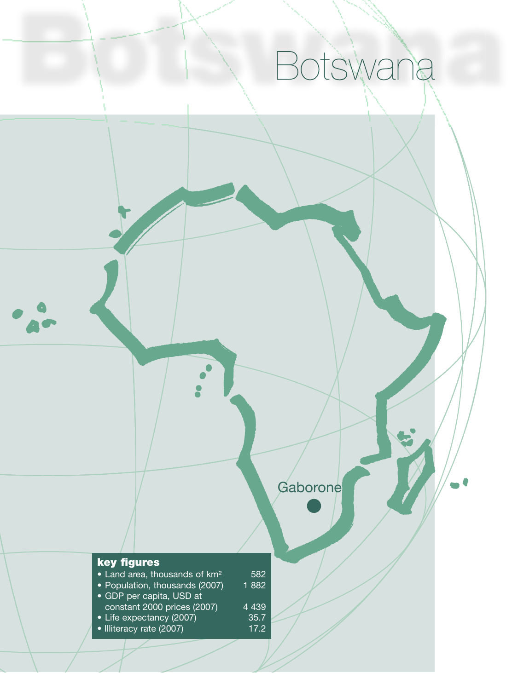Gaborone

# **key figures**

- **•** Land area, thousands of km² 582
- Population, thousands (2007) 1 882
- **•** GDP per capita, USD at
- constant 2000 prices (2007) 4 439<br>Life expectancy (2007) 35.7 • Life expectancy (2007)
- Illiteracy rate (2007) 17.2
- -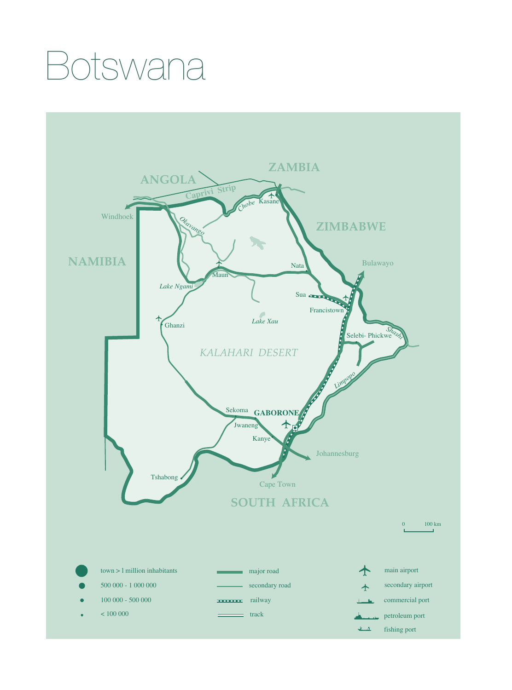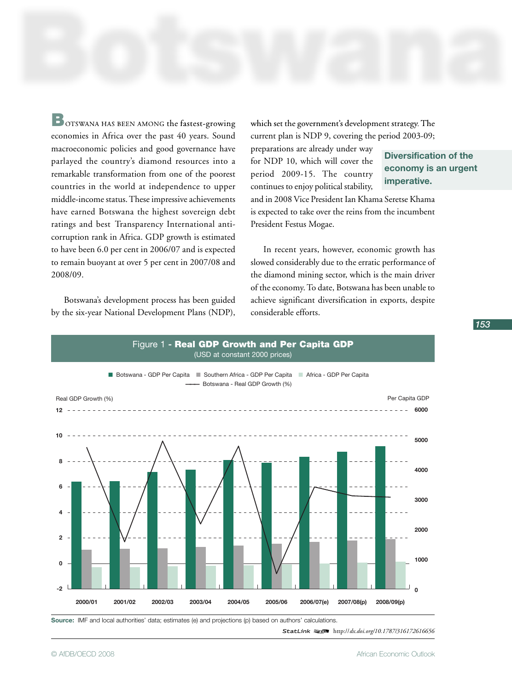**B**OTSWANA HAS BEEN AMONG the fastest-growing economies in Africa over the past 40 years. Sound macroeconomic policies and good governance have parlayed the country's diamond resources into a remarkable transformation from one of the poorest countries in the world at independence to upper middle-income status. These impressive achievements have earned Botswana the highest sovereign debt ratings and best Transparency International anticorruption rank in Africa. GDP growth is estimated to have been 6.0 per cent in 2006/07 and is expected to remain buoyant at over 5 per cent in 2007/08 and 2008/09.

Botswana's development process has been guided by the six-year National Development Plans (NDP), which set the government's development strategy.The current plan is NDP 9, covering the period 2003-09;

preparations are already under way for NDP 10, which will cover the period 2009-15. The country continues to enjoy political stability,

**Diversification of the economy is an urgent imperative.**

and in 2008 Vice President Ian Khama Seretse Khama is expected to take over the reins from the incumbent President Festus Mogae.

In recent years, however, economic growth has slowed considerably due to the erratic performance of the diamond mining sector, which is the main driver of the economy. To date, Botswana has been unable to achieve significant diversification in exports, despite considerable efforts.

## **0 1000 2000 3000 4000 5000 6000 -2 0 2 4 6 8 10 12** Real GDP Growth (%) **■** Botswana - GDP Per Capita **■** Southern Africa - GDP Per Capita **■** Africa - GDP Per Capita **———** Botswana - Real GDP Growth (%) Per Capita GDP Figure 1 **- Real GDP Growth and Per Capita GDP** (USD at constant 2000 prices)

**2000/01 2001/02 2002/03 2003/04 2004/05 2005/06 2006/07(e) 2007/08(p) 2008/09(p)**

Source: IMF and local authorities' data; estimates (e) and projections (p) based on authors' calculations.

authors' calculations.<br>StatLink <sub>@@</sub>@@@http://*dx.doi.org*/10.1787/316172616656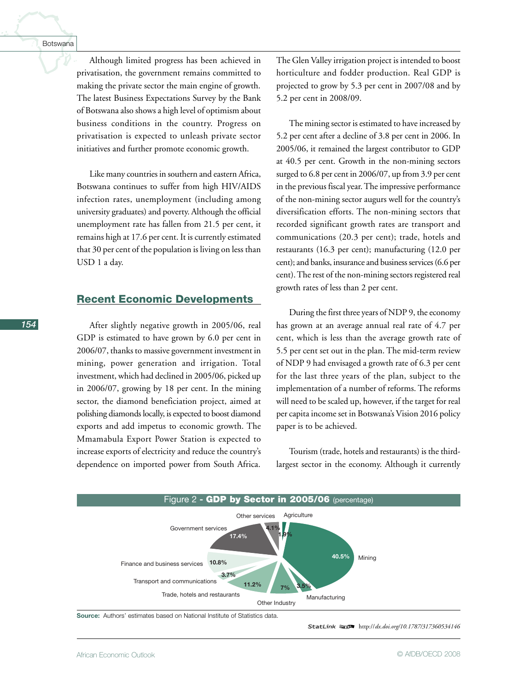Although limited progress has been achieved in privatisation, the government remains committed to making the private sector the main engine of growth. The latest Business Expectations Survey by the Bank of Botswana also shows a high level of optimism about business conditions in the country. Progress on privatisation is expected to unleash private sector initiatives and further promote economic growth.

Like many countries in southern and eastern Africa, Botswana continues to suffer from high HIV/AIDS infection rates, unemployment (including among university graduates) and poverty. Although the official unemployment rate has fallen from 21.5 per cent, it remains high at 17.6 per cent. It is currently estimated that 30 per cent of the population is living on less than USD 1 a day.

#### **Recent Economic Developments**

After slightly negative growth in 2005/06, real GDP is estimated to have grown by 6.0 per cent in 2006/07, thanks to massive government investment in mining, power generation and irrigation. Total investment, which had declined in 2005/06, picked up in 2006/07, growing by 18 per cent. In the mining sector, the diamond beneficiation project, aimed at polishing diamonds locally, is expected to boost diamond exports and add impetus to economic growth. The Mmamabula Export Power Station is expected to increase exports of electricity and reduce the country's dependence on imported power from South Africa.

The Glen Valley irrigation project is intended to boost horticulture and fodder production. Real GDP is projected to grow by 5.3 per cent in 2007/08 and by 5.2 per cent in 2008/09.

The mining sector is estimated to have increased by 5.2 per cent after a decline of 3.8 per cent in 2006. In 2005/06, it remained the largest contributor to GDP at 40.5 per cent. Growth in the non-mining sectors surged to 6.8 per cent in 2006/07, up from 3.9 per cent in the previous fiscal year. The impressive performance of the non-mining sector augurs well for the country's diversification efforts. The non-mining sectors that recorded significant growth rates are transport and communications (20.3 per cent); trade, hotels and restaurants (16.3 per cent); manufacturing (12.0 per cent); and banks, insurance and business services (6.6 per cent). The rest of the non-mining sectors registered real growth rates of less than 2 per cent.

During the first three years of NDP 9, the economy has grown at an average annual real rate of 4.7 per cent, which is less than the average growth rate of 5.5 per cent set out in the plan. The mid-term review of NDP 9 had envisaged a growth rate of 6.3 per cent for the last three years of the plan, subject to the implementation of a number of reforms. The reforms will need to be scaled up, however, if the target for real per capita income set in Botswana's Vision 2016 policy paper is to be achieved.

Tourism (trade, hotels and restaurants) is the thirdlargest sector in the economy. Although it currently



**Source:** Authors' estimates based on National Institute of Statistics data.

12 http://*[dx.doi.org/10.1787/317360534146](http://dx.doi.org/10.1787/317360534146)*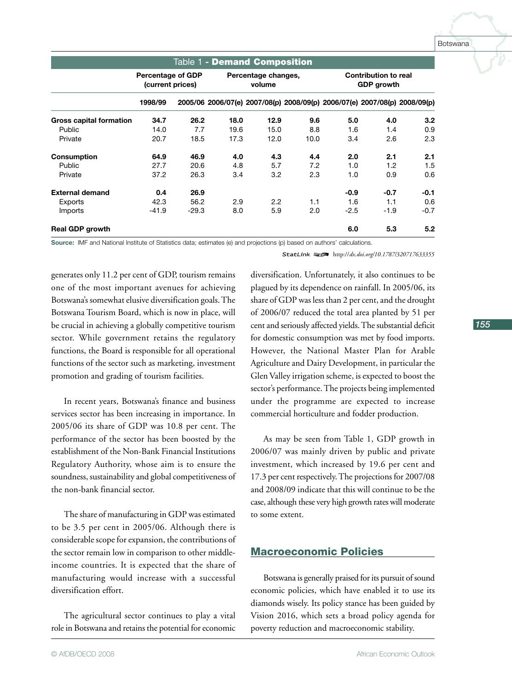|                                |                                              |         |                               | Table 1 - Demand Composition |      |                                                  |        |                                                                           |
|--------------------------------|----------------------------------------------|---------|-------------------------------|------------------------------|------|--------------------------------------------------|--------|---------------------------------------------------------------------------|
|                                | <b>Percentage of GDP</b><br>(current prices) |         | Percentage changes,<br>volume |                              |      | <b>Contribution to real</b><br><b>GDP</b> growth |        |                                                                           |
|                                | 1998/99                                      |         |                               |                              |      |                                                  |        | 2005/06 2006/07(e) 2007/08(p) 2008/09(p) 2006/07(e) 2007/08(p) 2008/09(p) |
| <b>Gross capital formation</b> | 34.7                                         | 26.2    | 18.0                          | 12.9                         | 9.6  | 5.0                                              | 4.0    | 3.2                                                                       |
| <b>Public</b>                  | 14.0                                         | 7.7     | 19.6                          | 15.0                         | 8.8  | 1.6                                              | 1.4    | 0.9                                                                       |
| Private                        | 20.7                                         | 18.5    | 17.3                          | 12.0                         | 10.0 | 3.4                                              | 2.6    | 2.3                                                                       |
| Consumption                    | 64.9                                         | 46.9    | 4.0                           | 4.3                          | 4.4  | 2.0                                              | 2.1    | 2.1                                                                       |
| <b>Public</b>                  | 27.7                                         | 20.6    | 4.8                           | 5.7                          | 7.2  | 1.0                                              | 1.2    | 1.5                                                                       |
| Private                        | 37.2                                         | 26.3    | 3.4                           | 3.2                          | 2.3  | 1.0                                              | 0.9    | 0.6                                                                       |
| <b>External demand</b>         | 0.4                                          | 26.9    |                               |                              |      | $-0.9$                                           | $-0.7$ | $-0.1$                                                                    |
| Exports                        | 42.3                                         | 56.2    | 2.9                           | 2.2                          | 1.1  | 1.6                                              | 1.1    | 0.6                                                                       |
| Imports                        | $-41.9$                                      | $-29.3$ | 8.0                           | 5.9                          | 2.0  | $-2.5$                                           | $-1.9$ | $-0.7$                                                                    |
| <b>Real GDP growth</b>         |                                              |         |                               |                              |      | 6.0                                              | 5.3    | 5.2                                                                       |

**Source:** IMF and National Institute of Statistics data; estimates (e) and projections (p) based on authors' calculations.

12 http://*[dx.doi.org/10.1787/320717633355](http://dx.doi.org/10.1787/320717633355)*

generates only 11.2 per cent of GDP, tourism remains one of the most important avenues for achieving Botswana's somewhat elusive diversification goals. The Botswana Tourism Board, which is now in place, will be crucial in achieving a globally competitive tourism sector. While government retains the regulatory functions, the Board is responsible for all operational functions of the sector such as marketing, investment promotion and grading of tourism facilities.

In recent years, Botswana's finance and business services sector has been increasing in importance. In 2005/06 its share of GDP was 10.8 per cent. The performance of the sector has been boosted by the establishment of the Non-Bank Financial Institutions Regulatory Authority, whose aim is to ensure the soundness, sustainability and global competitiveness of the non-bank financial sector.

The share of manufacturing in GDP was estimated to be 3.5 per cent in 2005/06. Although there is considerable scope for expansion, the contributions of the sector remain low in comparison to other middleincome countries. It is expected that the share of manufacturing would increase with a successful diversification effort.

The agricultural sector continues to play a vital role in Botswana and retains the potential for economic diversification. Unfortunately, it also continues to be plagued by its dependence on rainfall. In 2005/06, its share of GDP was less than 2 per cent, and the drought of 2006/07 reduced the total area planted by 51 per cent and seriously affected yields. The substantial deficit for domestic consumption was met by food imports. However, the National Master Plan for Arable Agriculture and Dairy Development, in particular the Glen Valley irrigation scheme, is expected to boost the sector's performance.The projects being implemented under the programme are expected to increase commercial horticulture and fodder production.

As may be seen from Table 1, GDP growth in 2006/07 was mainly driven by public and private investment, which increased by 19.6 per cent and 17.3 per cent respectively.The projections for 2007/08 and 2008/09 indicate that this will continue to be the case, although these very high growth rates will moderate to some extent.

#### **Macroeconomic Policies**

Botswana is generally praised for its pursuit of sound economic policies, which have enabled it to use its diamonds wisely. Its policy stance has been guided by Vision 2016, which sets a broad policy agenda for poverty reduction and macroeconomic stability.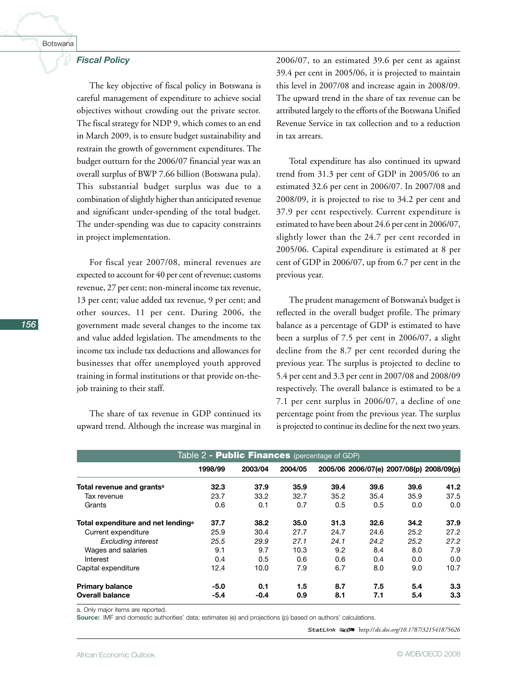#### *Fiscal Policy*

The key objective of fiscal policy in Botswana is careful management of expenditure to achieve social objectives without crowding out the private sector. The fiscal strategy for NDP 9, which comes to an end in March 2009, is to ensure budget sustainability and restrain the growth of government expenditures. The budget outturn for the 2006/07 financial year was an overall surplus of BWP 7.66 billion (Botswana pula). This substantial budget surplus was due to a combination of slightly higher than anticipated revenue and significant under-spending of the total budget. The under-spending was due to capacity constraints in project implementation.

For fiscal year 2007/08, mineral revenues are expected to account for 40 per cent of revenue; customs revenue, 27 per cent; non-mineral income tax revenue, 13 per cent; value added tax revenue, 9 per cent; and other sources, 11 per cent. During 2006, the government made several changes to the income tax and value added legislation. The amendments to the income tax include tax deductions and allowances for businesses that offer unemployed youth approved training in formal institutions or that provide on-thejob training to their staff.

The share of tax revenue in GDP continued its upward trend. Although the increase was marginal in 2006/07, to an estimated 39.6 per cent as against 39.4 per cent in 2005/06, it is projected to maintain this level in 2007/08 and increase again in 2008/09. The upward trend in the share of tax revenue can be attributed largely to the efforts of the Botswana Unified Revenue Service in tax collection and to a reduction in tax arrears.

Total expenditure has also continued its upward trend from 31.3 per cent of GDP in 2005/06 to an estimated 32.6 per cent in 2006/07. In 2007/08 and 2008/09, it is projected to rise to 34.2 per cent and 37.9 per cent respectively. Current expenditure is estimated to have been about 24.6 per cent in 2006/07, slightly lower than the 24.7 per cent recorded in 2005/06. Capital expenditure is estimated at 8 per cent of GDP in 2006/07, up from 6.7 per cent in the previous year.

The prudent management of Botswana's budget is reflected in the overall budget profile. The primary balance as a percentage of GDP is estimated to have been a surplus of 7.5 per cent in 2006/07, a slight decline from the 8.7 per cent recorded during the previous year. The surplus is projected to decline to 5.4 per cent and 3.3 per cent in 2007/08 and 2008/09 respectively. The overall balance is estimated to be a 7.1 per cent surplus in 2006/07, a decline of one percentage point from the previous year. The surplus is projected to continue its decline for the next two years.

| Table 2 - <b>Public Finances</b> (percentage of GDP) |         |         |         |      |      |      |                                          |  |  |
|------------------------------------------------------|---------|---------|---------|------|------|------|------------------------------------------|--|--|
|                                                      | 1998/99 | 2003/04 | 2004/05 |      |      |      | 2005/06 2006/07(e) 2007/08(p) 2008/09(p) |  |  |
| Total revenue and grants <sup>a</sup>                | 32.3    | 37.9    | 35.9    | 39.4 | 39.6 | 39.6 | 41.2                                     |  |  |
| Tax revenue                                          | 23.7    | 33.2    | 32.7    | 35.2 | 35.4 | 35.9 | 37.5                                     |  |  |
| Grants                                               | 0.6     | 0.1     | 0.7     | 0.5  | 0.5  | 0.0  | 0.0                                      |  |  |
| Total expenditure and net lending <sup>a</sup>       | 37.7    | 38.2    | 35.0    | 31.3 | 32.6 | 34.2 | 37.9                                     |  |  |
| Current expenditure                                  | 25.9    | 30.4    | 27.7    | 24.7 | 24.6 | 25.2 | 27.2                                     |  |  |
| <b>Excluding interest</b>                            | 25.5    | 29.9    | 27.1    | 24.1 | 24.2 | 25.2 | 27.2                                     |  |  |
| Wages and salaries                                   | 9.1     | 9.7     | 10.3    | 9.2  | 8.4  | 8.0  | 7.9                                      |  |  |
| Interest                                             | 0.4     | 0.5     | 0.6     | 0.6  | 0.4  | 0.0  | 0.0                                      |  |  |
| Capital expenditure                                  | 12.4    | 10.0    | 7.9     | 6.7  | 8.0  | 9.0  | 10.7                                     |  |  |
| <b>Primary balance</b>                               | $-5.0$  | 0.1     | $1.5\,$ | 8.7  | 7.5  | 5.4  | 3.3                                      |  |  |
| <b>Overall balance</b>                               | $-5.4$  | $-0.4$  | 0.9     | 8.1  | 7.1  | 5.4  | 3.3                                      |  |  |

a. Only major items are reported.

**Source:** IMF and domestic authorities' data; estimates (e) and projections (p) based on authors' calculations.

12 http://*[dx.doi.org/10.1787/321541875626](http://dx.doi.org/10.1787/321541875626)*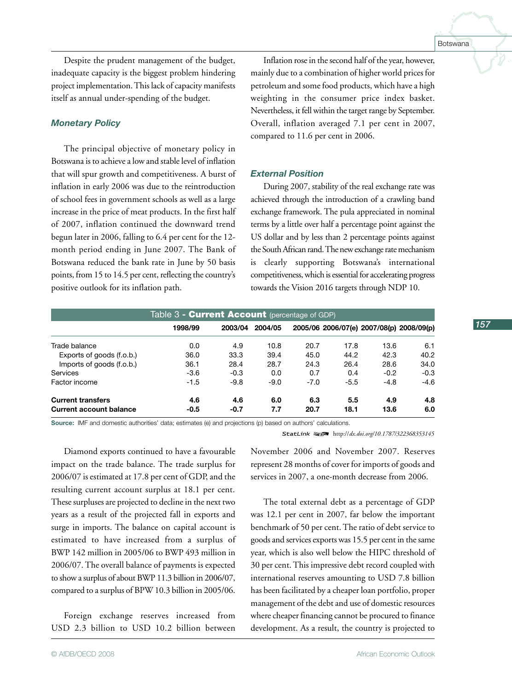Despite the prudent management of the budget, inadequate capacity is the biggest problem hindering project implementation.This lack of capacity manifests itself as annual under-spending of the budget.

#### *Monetary Policy*

The principal objective of monetary policy in Botswana is to achieve a low and stable level of inflation that will spur growth and competitiveness. A burst of inflation in early 2006 was due to the reintroduction of school fees in government schools as well as a large increase in the price of meat products. In the first half of 2007, inflation continued the downward trend begun later in 2006, falling to 6.4 per cent for the 12 month period ending in June 2007. The Bank of Botswana reduced the bank rate in June by 50 basis points, from 15 to 14.5 per cent, reflecting the country's positive outlook for its inflation path.

Inflation rose in the second half of the year, however, mainly dueto a combination of higher world prices for petroleum and some food products, which have a high weighting in the consumer price index basket. Nevertheless, it fell within the target range by September. Overall, inflation averaged 7.1 per cent in 2007, compared to 11.6 per cent in 2006.

#### *External Position*

During 2007, stability of the real exchange rate was achieved through the introduction of a crawling band exchange framework. The pula appreciated in nominal terms by a little over half a percentage point against the US dollar and by less than 2 percentage points against the South African rand. The new exchange rate mechanism is clearly supporting Botswana's international competitiveness, which is essential for accelerating progress towards the Vision 2016 targets through NDP 10.

| Table 3 - <b>Current Account</b> (percentage of GDP) |               |            |             |             |             |                                          |  |  |  |
|------------------------------------------------------|---------------|------------|-------------|-------------|-------------|------------------------------------------|--|--|--|
| 1998/99                                              | 2003/04       | 2004/05    |             |             |             |                                          |  |  |  |
| 0.0                                                  | 4.9           | 10.8       | 20.7        | 17.8        | 13.6        | 6.1                                      |  |  |  |
| 36.0                                                 | 33.3          | 39.4       | 45.0        | 44.2        | 42.3        | 40.2                                     |  |  |  |
| 36.1                                                 | 28.4          | 28.7       | 24.3        | 26.4        | 28.6        | 34.0                                     |  |  |  |
| $-3.6$                                               | $-0.3$        | 0.0        | 0.7         | 0.4         | $-0.2$      | $-0.3$                                   |  |  |  |
| $-1.5$                                               | $-9.8$        | $-9.0$     | $-7.0$      | $-5.5$      | $-4.8$      | $-4.6$                                   |  |  |  |
| 4.6<br>$-0.5$                                        | 4.6<br>$-0.7$ | 6.0<br>7.7 | 6.3<br>20.7 | 5.5<br>18.1 | 4.9<br>13.6 | 4.8<br>6.0                               |  |  |  |
|                                                      |               |            |             |             |             | 2005/06 2006/07(e) 2007/08(p) 2008/09(p) |  |  |  |

**Source:** IMF and domestic authorities' data; estimates (e) and projections (p) based on authors' calculations.

12 http://*[dx.doi.org/10.1787/322368353145](http://dx.doi.org/10.1787/322368353145)*

Diamond exports continued to have a favourable impact on the trade balance. The trade surplus for 2006/07 is estimated at 17.8 per cent of GDP, and the resulting current account surplus at 18.1 per cent. These surpluses are projected to decline in the next two years as a result of the projected fall in exports and surge in imports. The balance on capital account is estimated to have increased from a surplus of BWP 142 million in 2005/06 to BWP 493 million in 2006/07. The overall balance of payments is expected to showa surplus of about BWP 11.3 billion in 2006/07, compared to a surplus of BPW 10.3 billion in 2005/06.

Foreign exchange reserves increased from USD 2.3 billion to USD 10.2 billion between November 2006 and November 2007. Reserves represent 28 months of cover for imports of goods and services in 2007, a one-month decrease from 2006.

The total external debt as a percentage of GDP was 12.1 per cent in 2007, far below the important benchmark of 50 per cent.The ratio of debt service to goods and services exports was 15.5 per cent in the same year, which is also well below the HIPC threshold of 30 per cent.This impressive debt record coupled with international reserves amounting to USD 7.8 billion has been facilitated by a cheaper loan portfolio, proper management of the debt and use of domestic resources where cheaper financing cannot be procured to finance development. As a result, the country is projected to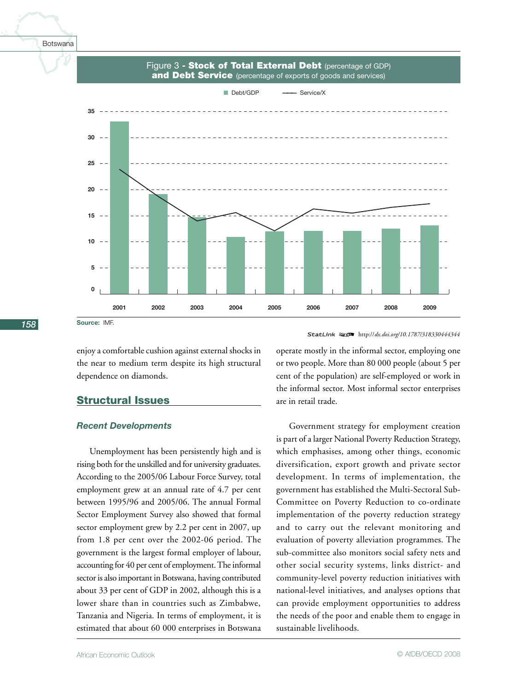

Figure 3 **- Stock of Total External Debt** (percentage of GDP)

**Source:** IMF.

*158*

enjoy a comfortable cushion against external shocks in the near to medium term despite its high structural dependence on diamonds.

#### **Structural Issues**

#### *Recent Developments*

Unemployment has been persistently high and is rising both for the unskilled and for university graduates. According to the 2005/06 Labour Force Survey, total employment grew at an annual rate of 4.7 per cent between 1995/96 and 2005/06. The annual Formal Sector Employment Survey also showed that formal sector employment grew by 2.2 per cent in 2007, up from 1.8 per cent over the 2002-06 period. The government is the largest formal employer of labour, accounting for 40 per cent of employment. The informal sector is also important in Botswana, having contributed about 33 per cent of GDP in 2002, although this is a lower share than in countries such as Zimbabwe, Tanzania and Nigeria. In terms of employment, it is estimated that about 60 000 enterprises in Botswana

#### 12 http://*[dx.doi.org/10.1787/318330444344](http://dx.doi.org/10.1787/318330444344)*

operate mostly in the informal sector, employing one or two people. More than 80 000 people (about 5 per cent of the population) are self-employed or work in the informal sector. Most informal sector enterprises are in retail trade.

Government strategy for employment creation is part of a larger National Poverty Reduction Strategy, which emphasises, among other things, economic diversification, export growth and private sector development. In terms of implementation, the government has established the Multi-Sectoral Sub-Committee on Poverty Reduction to co-ordinate implementation of the poverty reduction strategy and to carry out the relevant monitoring and evaluation of poverty alleviation programmes. The sub-committee also monitors social safety nets and other social security systems, links district- and community-level poverty reduction initiatives with national-level initiatives, and analyses options that can provide employment opportunities to address the needs of the poor and enable them to engage in sustainable livelihoods.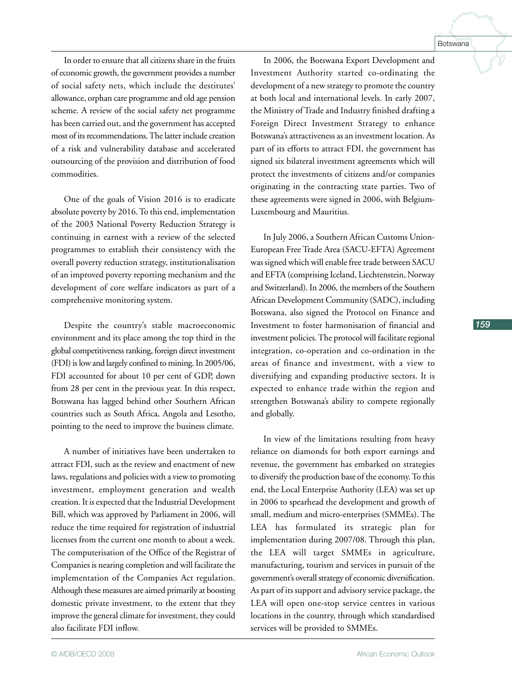In order to ensure that all citizens share in the fruits of economic growth, the government provides a number of social safety nets, which include the destitutes' allowance, orphan care programme and old age pension scheme. A review of the social safety net programme has been carried out, and the government has accepted most of its recommendations. The latter include creation of a risk and vulnerability database and accelerated outsourcing of the provision and distribution of food commodities.

One of the goals of Vision 2016 is to eradicate absolute poverty by 2016.To thisend, implementation of the 2003 National Poverty Reduction Strategy is continuing in earnest with a review of the selected programmes to establish their consistency with the overall poverty reduction strategy, institutionalisation of an improved poverty reporting mechanism and the development of core welfare indicators as part of a comprehensive monitoring system.

Despite the country's stable macroeconomic environment and its place among the top third in the global competitiveness ranking, foreign direct investment (FDI) is low and largely confined to mining. In 2005/06, FDI accounted for about 10 per cent of GDP, down from 28 per cent in the previous year. In this respect, Botswana has lagged behind other Southern African countries such as South Africa, Angola and Lesotho, pointing to the need to improve the business climate.

A number of initiatives have been undertaken to attract FDI, such as the review and enactment of new laws, regulations and policies with a view to promoting investment, employment generation and wealth creation. It is expected that the Industrial Development Bill, which was approved by Parliament in 2006, will reduce the time required for registration of industrial licenses from the current one month to about a week. The computerisation of the Office of the Registrar of Companies is nearing completion and will facilitate the implementation of the Companies Act regulation. Although these measures are aimed primarily at boosting domestic private investment, to the extent that they improve the general climate for investment, they could also facilitate FDI inflow.

In 2006, the Botswana Export Development and Investment Authority started co-ordinating the development of a new strategy to promote the country at both local and international levels. In early 2007, the Ministry ofTrade and Industry finished drafting a Foreign Direct Investment Strategy to enhance Botswana's attractiveness as an investment location. As part of its efforts to attract FDI, the government has signed six bilateral investment agreements which will protect the investments of citizens and/or companies originating in the contracting state parties. Two of these agreements were signed in 2006, with Belgium-Luxembourg and Mauritius.

In July 2006, a Southern African Customs Union-European Free Trade Area (SACU-EFTA) Agreement was signed which will enable free trade between SACU and EFTA (comprising Iceland, Liechtenstein, Norway and Switzerland).In 2006, the members of the Southern African Development Community (SADC), including Botswana, also signed the Protocol on Finance and Investment to foster harmonisation of financial and investment policies. The protocol will facilitate regional integration, co-operation and co-ordination in the areas of finance and investment, with a view to diversifying and expanding productive sectors. It is expected to enhance trade within the region and strengthen Botswana's ability to compete regionally and globally.

In view of the limitations resulting from heavy reliance on diamonds for both export earnings and revenue, the government has embarked on strategies to diversify the production base of the economy. To this end, the Local Enterprise Authority (LEA) was set up in 2006 to spearhead the development and growth of small, medium and micro-enterprises (SMMEs). The LEA has formulated its strategic plan for implementation during 2007/08. Through this plan, the LEA will target SMMEs in agriculture, manufacturing, tourism and services in pursuit of the government's overall strategy of economic diversification. As part of its support and advisory service package, the LEA will open one-stop service centres in various locations in the country, through which standardised services will be provided to SMMEs.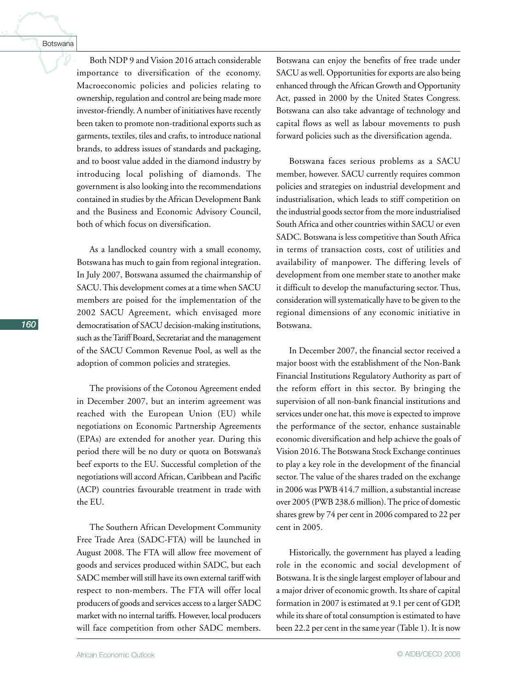Both NDP 9 and Vision 2016 attach considerable importance to diversification of the economy. Macroeconomic policies and policies relating to ownership, regulation and control are being made more investor-friendly. A number of initiatives have recently been taken to promote non-traditional exports such as garments, textiles, tiles and crafts, to introduce national brands, to address issues of standards and packaging, and to boost value added in the diamond industry by introducing local polishing of diamonds. The government is also looking into therecommendations contained in studies by the African Development Bank and the Business and Economic Advisory Council, both of which focus on diversification.

As a landlocked country with a small economy, Botswana has much to gain from regional integration. In July 2007, Botswana assumed the chairmanship of SACU.This development comes at a time when SACU members are poised for the implementation of the 2002 SACU Agreement, which envisaged more democratisation of SACU decision-making institutions, such as the Tariff Board, Secretariat and the management of the SACU Common Revenue Pool, as well as the adoption of common policies and strategies.

The provisions of the Cotonou Agreement ended in December 2007, but an interim agreement was reached with the European Union (EU) while negotiations on Economic Partnership Agreements (EPAs) are extended for another year. During this period there will be no duty or quota on Botswana's beef exports to the EU. Successful completion of the negotiations will accord African, Caribbean and Pacific (ACP) countries favourable treatment in trade with the EU.

The Southern African Development Community Free Trade Area (SADC-FTA) will be launched in August 2008. The FTA will allow free movement of goods and services produced within SADC, but each SADC member will still have its own external tariff with respect to non-members. The FTA will offer local producers of goods and services access to a larger SADC market with no internal tariffs. However, local producers will face competition from other SADC members.

Botswana can enjoy the benefits of free trade under SACU as well. Opportunities for exports are also being enhanced through the African Growth and Opportunity Act, passed in 2000 by the United States Congress. Botswana can also take advantage of technology and capital flows as well as labour movements to push forward policies such as the diversification agenda.

Botswana faces serious problems as a SACU member, however. SACU currently requires common policies and strategies on industrial development and industrialisation, which leads to stiff competition on the industrial goods sector from the more industrialised South Africa and other countries within SACU or even SADC. Botswana is less competitive than South Africa in terms of transaction costs, cost of utilities and availability of manpower. The differing levels of development from one member state to another make it difficult to develop the manufacturing sector.Thus, consideration will systematically have to be given to the regional dimensions of any economic initiative in Botswana.

In December 2007, the financial sector received a major boost with the establishment of the Non-Bank Financial Institutions Regulatory Authority as part of the reform effort in this sector. By bringing the supervision of all non-bank financial institutions and services under one hat, this move is expected to improve the performance of the sector, enhance sustainable economic diversification and help achieve the goals of Vision 2016.The Botswana Stock Exchange continues to play a key role in the development of the financial sector. The value of the shares traded on the exchange in 2006 was PWB 414.7 million, a substantial increase over 2005 (PWB 238.6 million).The price of domestic shares grew by 74 per cent in 2006 compared to 22 per cent in 2005.

Historically, the government has played a leading role in the economic and social development of Botswana. It is the single largest employer of labour and a major driver of economic growth. Its share of capital formation in 2007 is estimated at 9.1 per cent of GDP, while its share of total consumption is estimated to have been 22.2 per cent in the same year (Table 1). It is now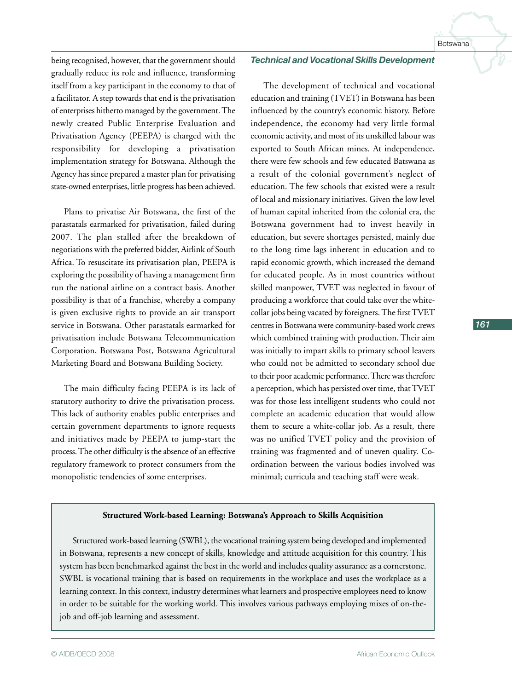being recognised, however, that the government should gradually reduce its role and influence, transforming itself from a key participant in the economy to that of a facilitator. A step towards thatend is the privatisation of enterprises hitherto managed by the government. The newly created Public Enterprise Evaluation and Privatisation Agency (PEEPA) is charged with the responsibility for developing a privatisation implementation strategy for Botswana. Although the Agency has since prepared a master plan for privatising state-owned enterprises, little progress has been achieved.

Plans to privatise Air Botswana, the first of the parastatals earmarked for privatisation, failed during 2007. The plan stalled after the breakdown of negotiations with the preferred bidder, Airlink of South Africa. To resuscitate its privatisation plan, PEEPA is exploring the possibility of having a management firm run the national airline on a contract basis. Another possibility is that of a franchise, whereby a company is given exclusive rights to provide an air transport service in Botswana. Other parastatals earmarked for privatisation include Botswana Telecommunication Corporation, Botswana Post, Botswana Agricultural Marketing Board and Botswana Building Society.

The main difficulty facing PEEPA is its lack of statutory authority to drive the privatisation process. This lack of authority enables public enterprises and certain government departments to ignore requests and initiatives made by PEEPA to jump-start the process.The other difficulty is the absence of an effective regulatory framework to protect consumers from the monopolistic tendencies of some enterprises.

#### *Technical and Vocational Skills Development*

The development of technical and vocational education and training (TVET) in Botswana has been influenced by the country's economic history. Before independence, the economy had very little formal economic activity, and most of its unskilled labour was exported to South African mines. At independence, there were few schools and few educated Batswana as a result of the colonial government's neglect of education. The few schools that existed were a result of local and missionary initiatives. Given the low level of human capital inherited from the colonial era, the Botswana government had to invest heavily in education, but severe shortages persisted, mainly due to the long time lags inherent in education and to rapid economic growth, which increased the demand for educated people. As in most countries without skilled manpower, TVET was neglected in favour of producing a workforce that could take over the whitecollar jobs being vacated by foreigners. The first TVET centres in Botswana were community-based work crews which combined training with production. Their aim was initially to impart skills to primary school leavers who could not be admitted to secondary school due to their poor academic performance.Therewas therefore a perception, which has persisted over time, thatTVET was for those less intelligent students who could not complete an academic education that would allow them to secure a white-collar job. As a result, there was no unified TVET policy and the provision of training was fragmented and of uneven quality. Coordination between the various bodies involved was minimal; curricula and teaching staff were weak.

#### **Structured Work-based Learning: Botswana's Approach to Skills Acquisition**

Structured work-based learning (SWBL), the vocational training system being developed and implemented in Botswana, represents a new concept of skills, knowledge and attitude acquisition for this country. This system has been benchmarked against the best in the world and includes quality assurance as a cornerstone. SWBL is vocational training that is based on requirements in the workplace and uses the workplace as a learning context. In this context, industry determines what learners and prospective employees need to know in order to be suitable for the working world. This involves various pathways employing mixes of on-thejob and off-job learning and assessment.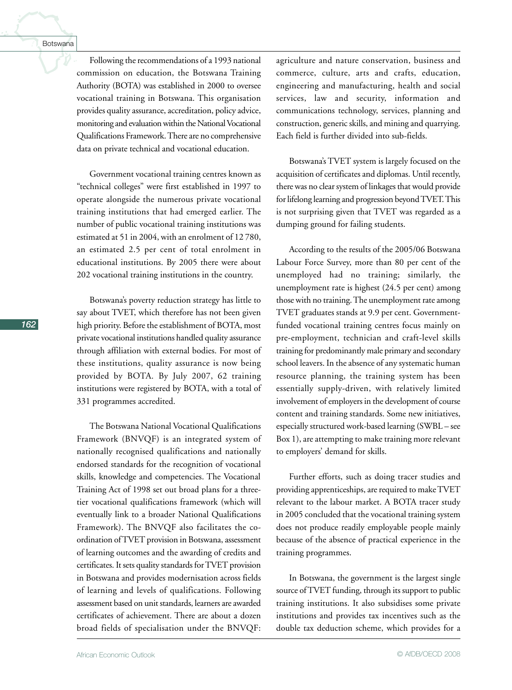Following the recommendations of a 1993 national commission on education, the Botswana Training Authority (BOTA) was established in 2000 to oversee vocational training in Botswana. This organisation provides quality assurance, accreditation, policy advice, monitoring and evaluation within the National Vocational Qualifications Framework.There are no comprehensive data on private technical and vocational education.

Government vocational training centres known as "technical colleges" were first established in 1997 to operate alongside the numerous private vocational training institutions that had emerged earlier. The number of public vocational training institutions was estimated at 51 in 2004, with an enrolment of 12 780, an estimated 2.5 per cent of total enrolment in educational institutions. By 2005 there were about 202 vocational training institutions in the country.

Botswana's poverty reduction strategy has little to say about TVET, which therefore has not been given high priority. Before the establishment of BOTA, most private vocational institutions handled quality assurance through affiliation with external bodies. For most of these institutions, quality assurance is now being provided by BOTA. By July 2007, 62 training institutions were registered by BOTA, with a total of 331 programmes accredited.

The Botswana National Vocational Qualifications Framework (BNVQF) is an integrated system of nationally recognised qualifications and nationally endorsed standards for the recognition of vocational skills, knowledge and competencies. The Vocational Training Act of 1998 set out broad plans for a threetier vocational qualifications framework (which will eventually link to a broader National Qualifications Framework). The BNVQF also facilitates the coordination ofTVET provision in Botswana, assessment of learning outcomes and the awarding of credits and certificates. It sets quality standards forTVET provision in Botswana and provides modernisation across fields of learning and levels of qualifications. Following assessment based on unit standards, learners are awarded certificates of achievement. There are about a dozen broad fields of specialisation under the BNVQF:

agriculture and nature conservation, business and commerce, culture, arts and crafts, education, engineering and manufacturing, health and social services, law and security, information and communications technology, services, planning and construction, generic skills, and mining and quarrying. Each field is further divided into sub-fields.

Botswana's TVET system is largely focused on the acquisition of certificates and diplomas. Until recently, there was no clear system of linkages that would provide for lifelong learning and progression beyond TVET. This is not surprising given that TVET was regarded as a dumping ground for failing students.

According to the results of the 2005/06 Botswana Labour Force Survey, more than 80 per cent of the unemployed had no training; similarly, the unemployment rate is highest (24.5 per cent) among those with no training.The unemployment rate among TVET graduates stands at 9.9 per cent. Governmentfunded vocational training centres focus mainly on pre-employment, technician and craft-level skills training for predominantly male primary and secondary school leavers. In the absence of any systematic human resource planning, the training system has been essentially supply-driven, with relatively limited involvement of employers in the development of course content and training standards. Some new initiatives, especially structured work-based learning (SWBL – see Box 1), are attempting to make training more relevant to employers' demand for skills.

Further efforts, such as doing tracer studies and providing apprenticeships, are required to make TVET relevant to the labour market. A BOTA tracer study in 2005 concluded that the vocational training system does not produce readily employable people mainly because of the absence of practical experience in the training programmes.

In Botswana, the government is the largest single source ofTVET funding, through its support to public training institutions. It also subsidises some private institutions and provides tax incentives such as the double tax deduction scheme, which provides for a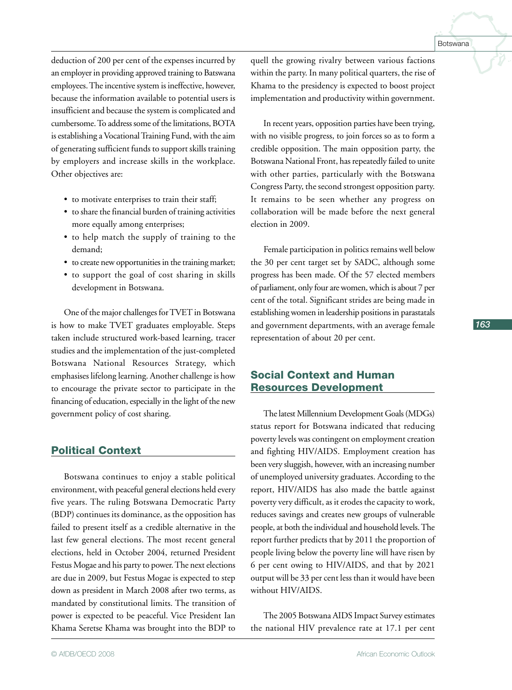deduction of 200 per cent of the expenses incurred by an employer in providing approved training to Batswana employees. The incentive system is ineffective, however, because the information available to potential users is insufficient and because the system is complicated and cumbersome. To address some of the limitations, BOTA is establishing a Vocational Training Fund, with the aim of generating sufficient funds to support skills training by employers and increase skills in the workplace. Other objectives are:

- to motivate enterprises to train their staff;
- $\bullet$  to share the financial burden of training activities more equally among enterprises;
- to help match the supply of training to the demand;
- to create new opportunities in the training market;
- to support the goal of cost sharing in skills development in Botswana.

One of the major challenges forTVET in Botswana is how to make TVET graduates employable. Steps taken include structured work-based learning, tracer studies and the implementation of the just-completed Botswana National Resources Strategy, which emphasises lifelong learning. Another challenge is how to encourage the private sector to participate in the financing of education, especially in the light of the new government policy of cost sharing.

#### **Political Context**

Botswana continues to enjoy a stable political environment, with peaceful general elections held every five years. The ruling Botswana Democratic Party (BDP) continues its dominance, as the opposition has failed to present itself as a credible alternative in the last few general elections. The most recent general elections, held in October 2004, returned President Festus Mogae and his party to power. The next elections are due in 2009, but Festus Mogae is expected to step down as president in March 2008 after two terms, as mandated by constitutional limits. The transition of power is expected to be peaceful. Vice President Ian Khama Seretse Khama was brought into the BDP to

quell the growing rivalry between various factions within the party. In many political quarters, the rise of Khama to the presidency is expected to boost project implementation and productivity within government.

In recent years, opposition parties have been trying, with no visible progress, to join forces so as to form a credible opposition. The main opposition party, the Botswana National Front, has repeatedly failed to unite with other parties, particularly with the Botswana Congress Party, the second strongest opposition party. It remains to be seen whether any progress on collaboration will be made before the next general election in 2009.

Female participation in politics remains well below the 30 per cent target set by SADC, although some progress has been made. Of the 57 elected members of parliament, only four arewomen,which is about 7 per cent of the total. Significant strides are being made in establishing women in leadership positions in parastatals and government departments, with an average female representation of about 20 per cent.

### **Social Context and Human Resources Development**

The latest Millennium Development Goals (MDGs) status report for Botswana indicated that reducing poverty levels was contingent on employment creation and fighting HIV/AIDS. Employment creation has been very sluggish, however, with an increasing number of unemployed university graduates. According to the report, HIV/AIDS has also made the battle against poverty very difficult, as it erodes the capacity to work, reduces savings and creates new groups of vulnerable people, at both the individual and household levels. The report further predicts that by 2011 the proportion of people living below the poverty line will have risen by 6 per cent owing to HIV/AIDS, and that by 2021 output will be 33 per cent less than it would have been without HIV/AIDS.

The 2005 Botswana AIDS Impact Survey estimates the national HIV prevalence rate at 17.1 per cent